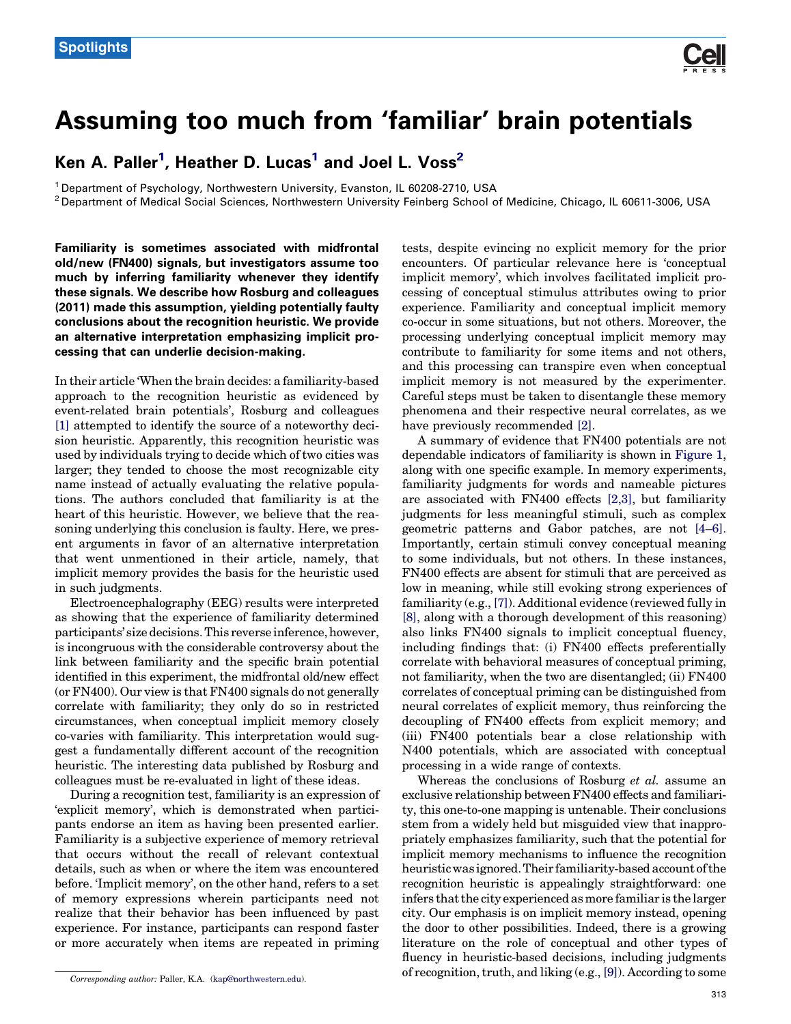

## <span id="page-0-0"></span>Assuming too much from 'familiar' brain potentials

Ken A. Paller<sup>1</sup>, Heather D. Lucas<sup>1</sup> and Joel L. Voss<sup>2</sup>

<sup>1</sup> Department of Psychology, Northwestern University, Evanston, IL 60208-2710, USA<br><sup>2</sup> Department of Medical Social Sciences, Northwestern University Feinberg School of Medicine, Chicago, IL 60611-3006, USA

Familiarity is sometimes associated with midfrontal old/new (FN400) signals, but investigators assume too much by inferring familiarity whenever they identify these signals. We describe how Rosburg and colleagues (2011) made this assumption, yielding potentially faulty conclusions about the recognition heuristic. We provide an alternative interpretation emphasizing implicit processing that can underlie decision-making.

In their article 'When the brain decides: a familiarity-based approach to the recognition heuristic as evidenced by event-related brain potentials', Rosburg and colleagues [\[1\]](#page-2-0) attempted to identify the source of a noteworthy decision heuristic. Apparently, this recognition heuristic was used by individuals trying to decide which of two cities was larger; they tended to choose the most recognizable city name instead of actually evaluating the relative populations. The authors concluded that familiarity is at the heart of this heuristic. However, we believe that the reasoning underlying this conclusion is faulty. Here, we present arguments in favor of an alternative interpretation that went unmentioned in their article, namely, that implicit memory provides the basis for the heuristic used in such judgments.

Electroencephalography (EEG) results were interpreted as showing that the experience of familiarity determined participants' size decisions. This reverse inference, however, is incongruous with the considerable controversy about the link between familiarity and the specific brain potential identified in this experiment, the midfrontal old/new effect (or FN400). Our view is that FN400 signals do not generally correlate with familiarity; they only do so in restricted circumstances, when conceptual implicit memory closely co-varies with familiarity. This interpretation would suggest a fundamentally different account of the recognition heuristic. The interesting data published by Rosburg and colleagues must be re-evaluated in light of these ideas.

During a recognition test, familiarity is an expression of 'explicit memory', which is demonstrated when participants endorse an item as having been presented earlier. Familiarity is a subjective experience of memory retrieval that occurs without the recall of relevant contextual details, such as when or where the item was encountered before. 'Implicit memory', on the other hand, refers to a set of memory expressions wherein participants need not realize that their behavior has been influenced by past experience. For instance, participants can respond faster or more accurately when items are repeated in priming

tests, despite evincing no explicit memory for the prior encounters. Of particular relevance here is 'conceptual implicit memory', which involves facilitated implicit processing of conceptual stimulus attributes owing to prior experience. Familiarity and conceptual implicit memory co-occur in some situations, but not others. Moreover, the processing underlying conceptual implicit memory may contribute to familiarity for some items and not others, and this processing can transpire even when conceptual implicit memory is not measured by the experimenter. Careful steps must be taken to disentangle these memory phenomena and their respective neural correlates, as we have previously recommended [\[2\].](#page-2-0)

A summary of evidence that FN400 potentials are not dependable indicators of familiarity is shown in [Figure](#page-1-0) 1, along with one specific example. In memory experiments, familiarity judgments for words and nameable pictures are associated with FN400 effects [\[2,3\],](#page-2-0) but familiarity judgments for less meaningful stimuli, such as complex geometric patterns and Gabor patches, are not [\[4–6\]](#page-2-0). Importantly, certain stimuli convey conceptual meaning to some individuals, but not others. In these instances, FN400 effects are absent for stimuli that are perceived as low in meaning, while still evoking strong experiences of familiarity (e.g., [\[7\]\)](#page-2-0). Additional evidence (reviewed fully in [\[8\],](#page-2-0) along with a thorough development of this reasoning) also links FN400 signals to implicit conceptual fluency, including findings that: (i) FN400 effects preferentially correlate with behavioral measures of conceptual priming, not familiarity, when the two are disentangled; (ii) FN400 correlates of conceptual priming can be distinguished from neural correlates of explicit memory, thus reinforcing the decoupling of FN400 effects from explicit memory; and (iii) FN400 potentials bear a close relationship with N400 potentials, which are associated with conceptual processing in a wide range of contexts.

Whereas the conclusions of Rosburg et al. assume an exclusive relationship between FN400 effects and familiarity, this one-to-one mapping is untenable. Their conclusions stem from a widely held but misguided view that inappropriately emphasizes familiarity, such that the potential for implicit memory mechanisms to influence the recognition heuristicwas ignored.Their familiarity-based account ofthe recognition heuristic is appealingly straightforward: one infers that the city experienced as more familiar is the larger city. Our emphasis is on implicit memory instead, opening the door to other possibilities. Indeed, there is a growing literature on the role of conceptual and other types of fluency in heuristic-based decisions, including judgments of recognition, truth, and liking (e.g., [\[9\]](#page-2-0)). According to some

Corresponding author: Paller, K.A. [\(kap@northwestern.edu](mailto:kap@northwestern.edu)).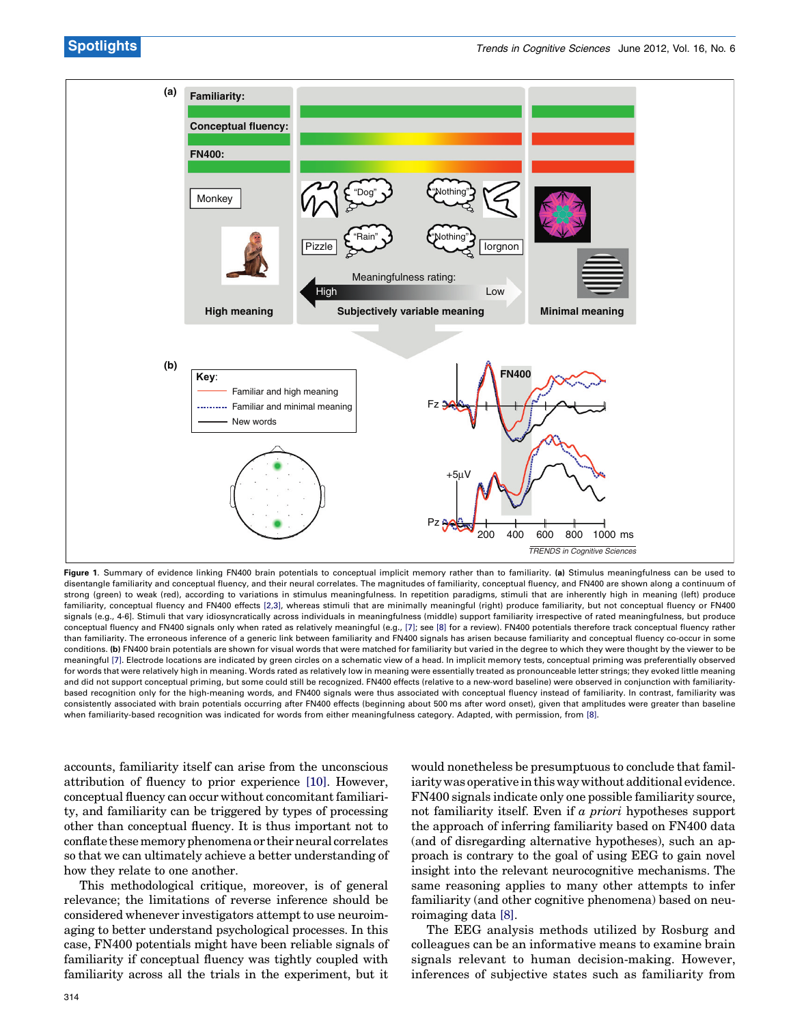<span id="page-1-0"></span>

Figure 1. Summary of evidence linking FN400 brain potentials to conceptual implicit memory rather than to familiarity. (a) Stimulus meaningfulness can be used to disentangle familiarity and conceptual fluency, and their neural correlates. The magnitudes of familiarity, conceptual fluency, and FN400 are shown along a continuum of strong (green) to weak (red), according to variations in stimulus meaningfulness. In repetition paradigms, stimuli that are inherently high in meaning (left) produce familiarity, conceptual fluency and FN400 effects [2,3], whereas stimuli that are minimally meaningful (right) produce familiarity, but not conceptual fluency or FN400 signals (e.g., 4-6]. Stimuli that vary idiosyncratically across individuals in meaningfulness (middle) support familiarity irrespective of rated meaningfulness, but produce conceptual fluency and FN400 signals only when rated as relatively meaningful (e.g., [7]; see [8] for a review). FN400 potentials therefore track conceptual fluency rather than familiarity. The erroneous inference of a generic link between familiarity and FN400 signals has arisen because familiarity and conceptual fluency co-occur in some conditions. (b) FN400 brain potentials are shown for visual words that were matched for familiarity but varied in the degree to which they were thought by the viewer to be meaningful [7]. Electrode locations are indicated by green circles on a schematic view of a head. In implicit memory tests, conceptual priming was preferentially observed for words that were relatively high in meaning. Words rated as relatively low in meaning were essentially treated as pronounceable letter strings; they evoked little meaning and did not support conceptual priming, but some could still be recognized. FN400 effects (relative to a new-word baseline) were observed in conjunction with familiaritybased recognition only for the high-meaning words, and FN400 signals were thus associated with conceptual fluency instead of familiarity. In contrast, familiarity was consistently associated with brain potentials occurring after FN400 effects (beginning about 500 ms after word onset), given that amplitudes were greater than baseline when familiarity-based recognition was indicated for words from either meaningfulness category. Adapted, with permission, from [8].

accounts, familiarity itself can arise from the unconscious attribution of fluency to prior experience [\[10\]](#page-2-0). However, conceptual fluency can occur without concomitant familiarity, and familiarity can be triggered by types of processing other than conceptual fluency. It is thus important not to conflate thesememoryphenomenaor theirneural correlates so that we can ultimately achieve a better understanding of how they relate to one another.

This methodological critique, moreover, is of general relevance; the limitations of reverse inference should be considered whenever investigators attempt to use neuroimaging to better understand psychological processes. In this case, FN400 potentials might have been reliable signals of familiarity if conceptual fluency was tightly coupled with familiarity across all the trials in the experiment, but it would nonetheless be presumptuous to conclude that familiarity was operative in this way without additional evidence. FN400 signals indicate only one possible familiarity source, not familiarity itself. Even if a priori hypotheses support the approach of inferring familiarity based on FN400 data (and of disregarding alternative hypotheses), such an approach is contrary to the goal of using EEG to gain novel insight into the relevant neurocognitive mechanisms. The same reasoning applies to many other attempts to infer familiarity (and other cognitive phenomena) based on neuroimaging data [\[8\]](#page-2-0).

The EEG analysis methods utilized by Rosburg and colleagues can be an informative means to examine brain signals relevant to human decision-making. However, inferences of subjective states such as familiarity from